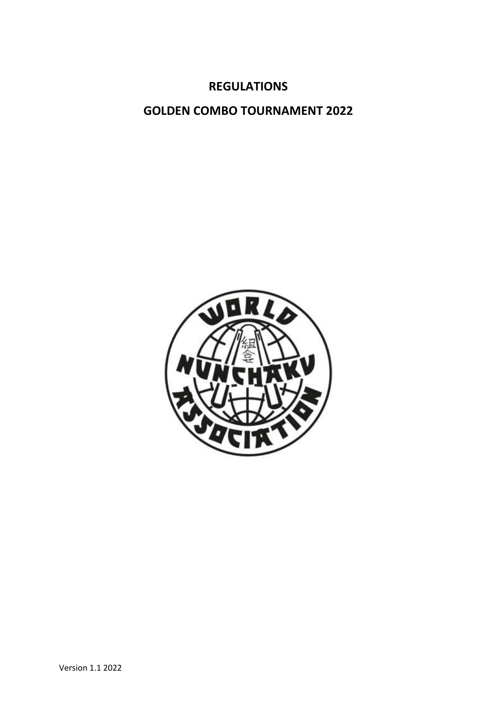# **REGULATIONS**

# **GOLDEN COMBO TOURNAMENT 2022**

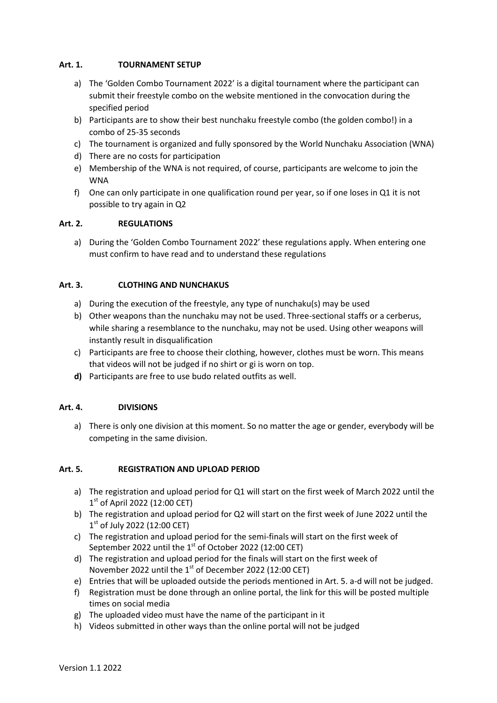## **Art. 1. TOURNAMENT SETUP**

- a) The 'Golden Combo Tournament 2022' is a digital tournament where the participant can submit their freestyle combo on the website mentioned in the convocation during the specified period
- b) Participants are to show their best nunchaku freestyle combo (the golden combo!) in a combo of 25-35 seconds
- c) The tournament is organized and fully sponsored by the World Nunchaku Association (WNA)
- d) There are no costs for participation
- e) Membership of the WNA is not required, of course, participants are welcome to join the WNA
- f) One can only participate in one qualification round per year, so if one loses in Q1 it is not possible to try again in Q2

#### **Art. 2. REGULATIONS**

a) During the 'Golden Combo Tournament 2022' these regulations apply. When entering one must confirm to have read and to understand these regulations

# **Art. 3. CLOTHING AND NUNCHAKUS**

- a) During the execution of the freestyle, any type of nunchaku(s) may be used
- b) Other weapons than the nunchaku may not be used. Three-sectional staffs or a cerberus, while sharing a resemblance to the nunchaku, may not be used. Using other weapons will instantly result in disqualification
- c) Participants are free to choose their clothing, however, clothes must be worn. This means that videos will not be judged if no shirt or gi is worn on top.
- **d)** Participants are free to use budo related outfits as well.

#### **Art. 4. DIVISIONS**

a) There is only one division at this moment. So no matter the age or gender, everybody will be competing in the same division.

# **Art. 5. REGISTRATION AND UPLOAD PERIOD**

- a) The registration and upload period for Q1 will start on the first week of March 2022 until the 1st of April 2022 (12:00 CET)
- b) The registration and upload period for Q2 will start on the first week of June 2022 until the 1st of July 2022 (12:00 CET)
- c) The registration and upload period for the semi-finals will start on the first week of September 2022 until the  $1<sup>st</sup>$  of October 2022 (12:00 CET)
- d) The registration and upload period for the finals will start on the first week of November 2022 until the 1<sup>st</sup> of December 2022 (12:00 CET)
- e) Entries that will be uploaded outside the periods mentioned in Art. 5. a-d will not be judged.
- f) Registration must be done through an online portal, the link for this will be posted multiple times on social media
- g) The uploaded video must have the name of the participant in it
- h) Videos submitted in other ways than the online portal will not be judged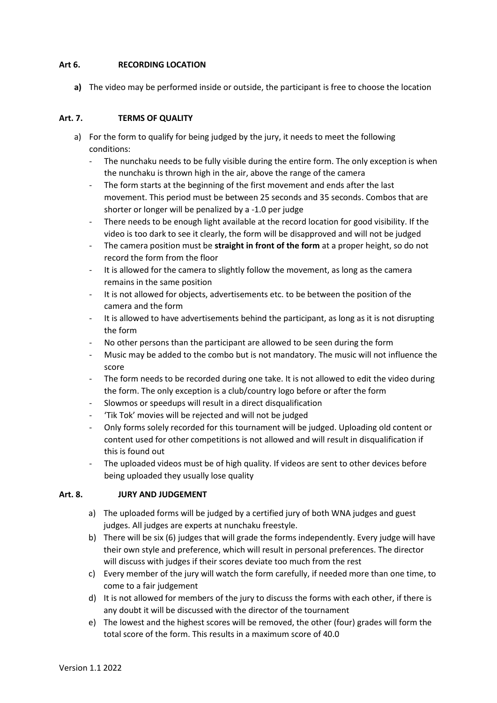#### **Art 6. RECORDING LOCATION**

**a)** The video may be performed inside or outside, the participant is free to choose the location

## **Art. 7. TERMS OF QUALITY**

- a) For the form to qualify for being judged by the jury, it needs to meet the following conditions:
	- The nunchaku needs to be fully visible during the entire form. The only exception is when the nunchaku is thrown high in the air, above the range of the camera
	- The form starts at the beginning of the first movement and ends after the last movement. This period must be between 25 seconds and 35 seconds. Combos that are shorter or longer will be penalized by a -1.0 per judge
	- There needs to be enough light available at the record location for good visibility. If the video is too dark to see it clearly, the form will be disapproved and will not be judged
	- The camera position must be **straight in front of the form** at a proper height, so do not record the form from the floor
	- It is allowed for the camera to slightly follow the movement, as long as the camera remains in the same position
	- It is not allowed for objects, advertisements etc. to be between the position of the camera and the form
	- It is allowed to have advertisements behind the participant, as long as it is not disrupting the form
	- No other persons than the participant are allowed to be seen during the form
	- Music may be added to the combo but is not mandatory. The music will not influence the score
	- The form needs to be recorded during one take. It is not allowed to edit the video during the form. The only exception is a club/country logo before or after the form
	- Slowmos or speedups will result in a direct disqualification
	- 'Tik Tok' movies will be rejected and will not be judged
	- Only forms solely recorded for this tournament will be judged. Uploading old content or content used for other competitions is not allowed and will result in disqualification if this is found out
	- The uploaded videos must be of high quality. If videos are sent to other devices before being uploaded they usually lose quality

#### **Art. 8. JURY AND JUDGEMENT**

- a) The uploaded forms will be judged by a certified jury of both WNA judges and guest judges. All judges are experts at nunchaku freestyle.
- b) There will be six (6) judges that will grade the forms independently. Every judge will have their own style and preference, which will result in personal preferences. The director will discuss with judges if their scores deviate too much from the rest
- c) Every member of the jury will watch the form carefully, if needed more than one time, to come to a fair judgement
- d) It is not allowed for members of the jury to discuss the forms with each other, if there is any doubt it will be discussed with the director of the tournament
- e) The lowest and the highest scores will be removed, the other (four) grades will form the total score of the form. This results in a maximum score of 40.0